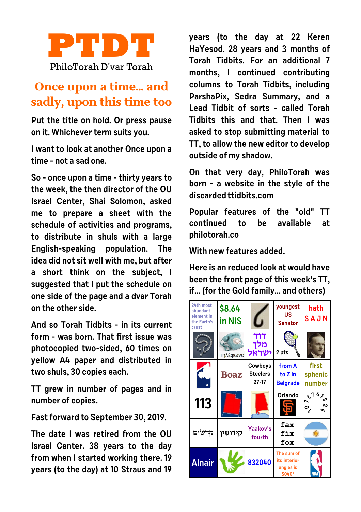

## **Once upon a time... and sadly, upon this time too**

**Put the title on hold. Or press pause on it. Whichever term suits you.** 

**I want to look at another Once upon a time - not a sad one.**

**So - once upon a time - thirty years to the week, the then director of the OU Israel Center, Shai Solomon, asked me to prepare a sheet with the schedule of activities and programs, to distribute in shuls with a large English-speaking population. The idea did not sit well with me, but after a short think on the subject, I suggested that I put the schedule on one side of the page and a dvar Torah on the other side.**

**And so Torah Tidbits - in its current form - was born. That first issue was photocopied two-sided, 60 times on yellow A4 paper and distributed in two shuls, 30 copies each.**

**TT grew in number of pages and in number of copies.**

**Fast forward to September 30, 2019.**

**The date I was retired from the OU Israel Center. 38 years to the day from when I started working there. 19 years (to the day) at 10 Straus and 19** **years (to the day at 22 Keren HaYesod. 28 years and 3 months of Torah Tidbits. For an additional 7 months, I continued contributing columns to Torah Tidbits, including ParshaPix, Sedra Summary, and a Lead Tidbit of sorts - called Torah Tidbits this and that. Then I was asked to stop submitting material to TT, to allow the new editor to develop outside of my shadow.**

**On that very day, PhiloTorah was born - a website in the style of the discarded ttidbits.com**

**Popular features of the "old" TT continued to be available at philotorah.co**

**With new features added.** 

**Here is an reduced look at would have been the front page of this week's TT, if... (for the Gold family... and others)**